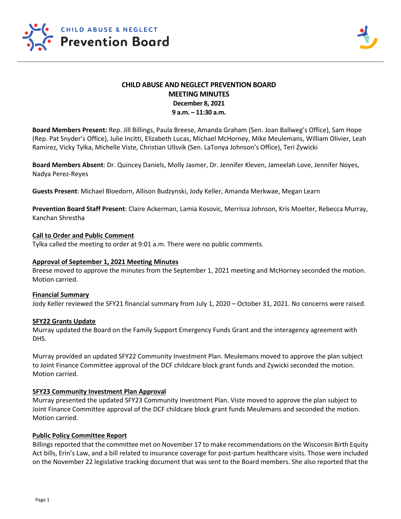

# **CHILD ABUSE AND NEGLECT PREVENTION BOARD MEETING MINUTES December 8, 2021 9 a.m. – 11:30 a.m.**

**Board Members Present:** Rep. Jill Billings, Paula Breese, Amanda Graham (Sen. Joan Ballweg's Office), Sam Hope (Rep. Pat Snyder's Office), Julie Incitti, Elizabeth Lucas, Michael McHorney, Mike Meulemans, William Olivier, Leah Ramirez, Vicky Tylka, Michelle Viste, Christian Ullsvik (Sen. LaTonya Johnson's Office), Teri Zywicki

**Board Members Absent**: Dr. Quincey Daniels, Molly Jasmer, Dr. Jennifer Kleven, Jameelah Love, Jennifer Noyes, Nadya Perez-Reyes

**Guests Present**: Michael Bloedorn, Allison Budzynski, Jody Keller, Amanda Merkwae, Megan Learn

**Prevention Board Staff Present**: Claire Ackerman, Lamia Kosovic, Merrissa Johnson, Kris Moelter, Rebecca Murray, Kanchan Shrestha

### **Call to Order and Public Comment**

Tylka called the meeting to order at 9:01 a.m. There were no public comments.

### **Approval of September 1, 2021 Meeting Minutes**

Breese moved to approve the minutes from the September 1, 2021 meeting and McHorney seconded the motion. Motion carried.

#### **Financial Summary**

Jody Keller reviewed the SFY21 financial summary from July 1, 2020 – October 31, 2021. No concerns were raised.

#### **SFY22 Grants Update**

Murray updated the Board on the Family Support Emergency Funds Grant and the interagency agreement with DHS.

Murray provided an updated SFY22 Community Investment Plan. Meulemans moved to approve the plan subject to Joint Finance Committee approval of the DCF childcare block grant funds and Zywicki seconded the motion. Motion carried.

# **SFY23 Community Investment Plan Approval**

Murray presented the updated SFY23 Community Investment Plan. Viste moved to approve the plan subject to Joint Finance Committee approval of the DCF childcare block grant funds Meulemans and seconded the motion. Motion carried.

#### **Public Policy Committee Report**

Billings reported that the committee met on November 17 to make recommendations on the Wisconsin Birth Equity Act bills, Erin's Law, and a bill related to insurance coverage for post-partum healthcare visits. Those were included on the November 22 legislative tracking document that was sent to the Board members. She also reported that the